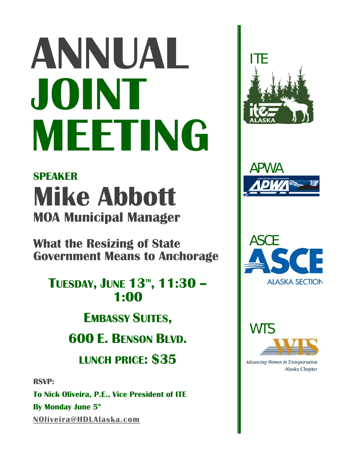# **ANNUAL JOINT MEETING**

### **SPEAKER Mike Abbott MOA Municipal Manager**

**What the Resizing of State Government Means to Anchorage** 

## **TUESDAY, JUNE 13<sup>th</sup>, 11:30 –**<br>**1:00**

**EMBASSY SUITES,**

**600 E. BENSON BLVD.** 

**LUNCH PRICE: \$35** 

**RSVP:** 

**To Nick Oliveira, P.E., Vice President of ITE By Monday June 5<sup>th</sup> NOliveira@HDLAlaska.com**









Advancing Women in Transportation Alaska Chapter